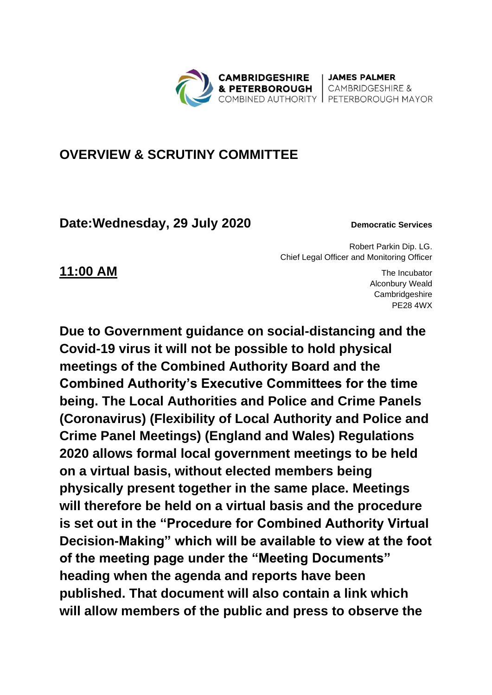

**JAMES PALMER CAMBRIDGESHIRE &** 

## **OVERVIEW & SCRUTINY COMMITTEE**

**Date: Wednesday, 29 July 2020 Democratic Services** 

Robert Parkin Dip. LG. Chief Legal Officer and Monitoring Officer

**11:00 AM** The Incubator Alconbury Weald **Cambridgeshire** PE28 4WX

**Due to Government guidance on social-distancing and the Covid-19 virus it will not be possible to hold physical meetings of the Combined Authority Board and the Combined Authority's Executive Committees for the time being. The Local Authorities and Police and Crime Panels (Coronavirus) (Flexibility of Local Authority and Police and Crime Panel Meetings) (England and Wales) Regulations 2020 allows formal local government meetings to be held on a virtual basis, without elected members being physically present together in the same place. Meetings will therefore be held on a virtual basis and the procedure is set out in the "Procedure for Combined Authority Virtual Decision-Making" which will be available to view at the foot of the meeting page under the "Meeting Documents" heading when the agenda and reports have been published. That document will also contain a link which will allow members of the public and press to observe the**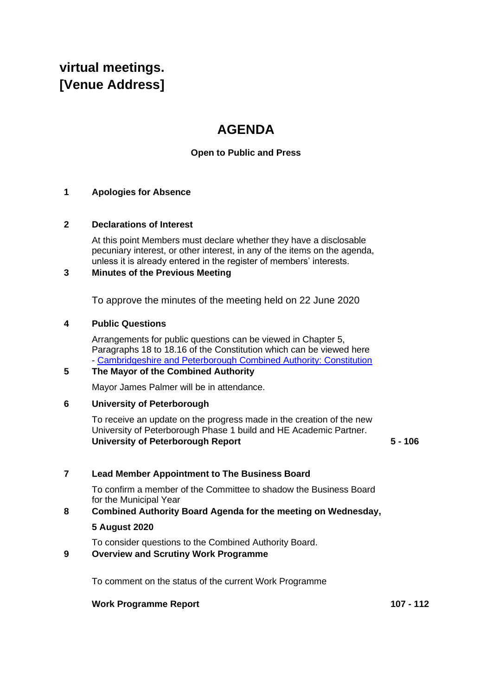# **virtual meetings. [Venue Address]**

# **AGENDA**

### **Open to Public and Press**

#### **1 Apologies for Absence**

#### **2 Declarations of Interest**

At this point Members must declare whether they have a disclosable pecuniary interest, or other interest, in any of the items on the agenda, unless it is already entered in the register of members' interests.

#### **3 Minutes of the Previous Meeting**

To approve the minutes of the meeting held on 22 June 2020

#### **4 Public Questions**

Arrangements for public questions can be viewed in Chapter 5, Paragraphs 18 to 18.16 of the Constitution which can be viewed here - [Cambridgeshire and Peterborough Combined Authority: Constitution](https://cambridgeshirepeterborough-ca.gov.uk/assets/Transparency/Constitution-28-05-2020-on-website.pdf) 

### **5 The Mayor of the Combined Authority**

Mayor James Palmer will be in attendance.

#### **6 University of Peterborough**

To receive an update on the progress made in the creation of the new University of Peterborough Phase 1 build and HE Academic Partner. **University of Peterborough Report 5 - 106**

#### **7 Lead Member Appointment to The Business Board**

To confirm a member of the Committee to shadow the Business Board for the Municipal Year

#### **8 Combined Authority Board Agenda for the meeting on Wednesday,**

#### **5 August 2020**

To consider questions to the Combined Authority Board.

#### **9 Overview and Scrutiny Work Programme**

To comment on the status of the current Work Programme

#### **Work Programme Report 107 - 112**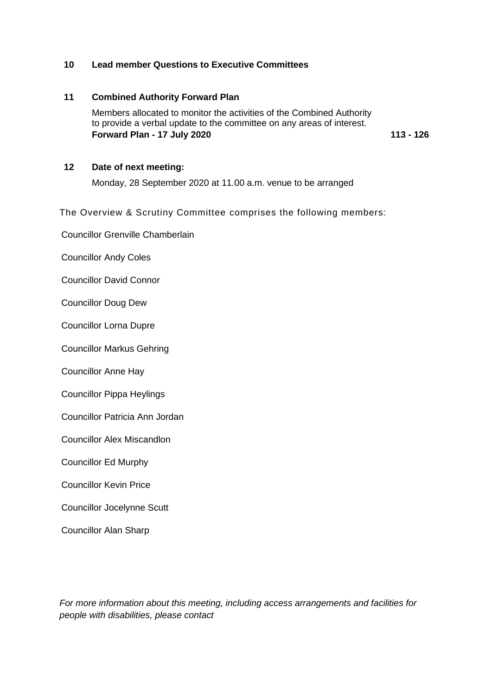#### **10 Lead member Questions to Executive Committees**

### **11 Combined Authority Forward Plan**  Members allocated to monitor the activities of the Combined Authority to provide a verbal update to the committee on any areas of interest. **Forward Plan - 17 July 2020 113 - 126**

**12 Date of next meeting:**

Monday, 28 September 2020 at 11.00 a.m. venue to be arranged

The Overview & Scrutiny Committee comprises the following members:

Councillor Grenville Chamberlain

Councillor Andy Coles

Councillor David Connor

Councillor Doug Dew

Councillor Lorna Dupre

Councillor Markus Gehring

Councillor Anne Hay

Councillor Pippa Heylings

Councillor Patricia Ann Jordan

Councillor Alex Miscandlon

Councillor Ed Murphy

Councillor Kevin Price

Councillor Jocelynne Scutt

Councillor Alan Sharp

*For more information about this meeting, including access arrangements and facilities for people with disabilities, please contact*